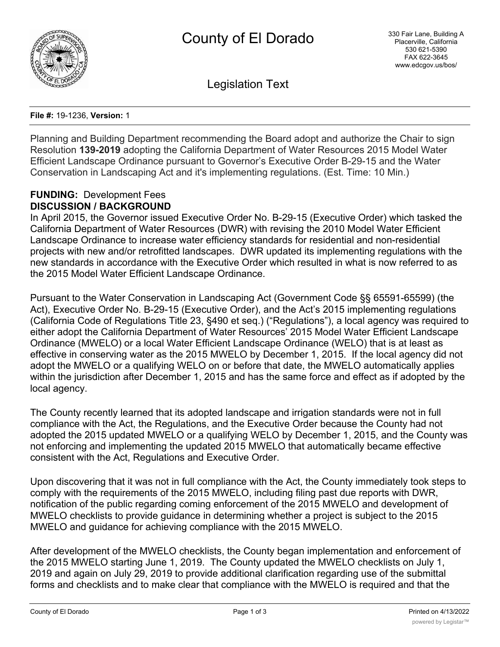

Legislation Text

**File #:** 19-1236, **Version:** 1

Planning and Building Department recommending the Board adopt and authorize the Chair to sign Resolution **139-2019** adopting the California Department of Water Resources 2015 Model Water Efficient Landscape Ordinance pursuant to Governor's Executive Order B-29-15 and the Water Conservation in Landscaping Act and it's implementing regulations. (Est. Time: 10 Min.)

#### **FUNDING:** Development Fees **DISCUSSION / BACKGROUND**

In April 2015, the Governor issued Executive Order No. B-29-15 (Executive Order) which tasked the California Department of Water Resources (DWR) with revising the 2010 Model Water Efficient Landscape Ordinance to increase water efficiency standards for residential and non-residential projects with new and/or retrofitted landscapes. DWR updated its implementing regulations with the new standards in accordance with the Executive Order which resulted in what is now referred to as the 2015 Model Water Efficient Landscape Ordinance.

Pursuant to the Water Conservation in Landscaping Act (Government Code §§ 65591-65599) (the Act), Executive Order No. B-29-15 (Executive Order), and the Act's 2015 implementing regulations (California Code of Regulations Title 23, §490 et seq.) ("Regulations"), a local agency was required to either adopt the California Department of Water Resources' 2015 Model Water Efficient Landscape Ordinance (MWELO) or a local Water Efficient Landscape Ordinance (WELO) that is at least as effective in conserving water as the 2015 MWELO by December 1, 2015. If the local agency did not adopt the MWELO or a qualifying WELO on or before that date, the MWELO automatically applies within the jurisdiction after December 1, 2015 and has the same force and effect as if adopted by the local agency.

The County recently learned that its adopted landscape and irrigation standards were not in full compliance with the Act, the Regulations, and the Executive Order because the County had not adopted the 2015 updated MWELO or a qualifying WELO by December 1, 2015, and the County was not enforcing and implementing the updated 2015 MWELO that automatically became effective consistent with the Act, Regulations and Executive Order.

Upon discovering that it was not in full compliance with the Act, the County immediately took steps to comply with the requirements of the 2015 MWELO, including filing past due reports with DWR, notification of the public regarding coming enforcement of the 2015 MWELO and development of MWELO checklists to provide guidance in determining whether a project is subject to the 2015 MWELO and guidance for achieving compliance with the 2015 MWELO.

After development of the MWELO checklists, the County began implementation and enforcement of the 2015 MWELO starting June 1, 2019. The County updated the MWELO checklists on July 1, 2019 and again on July 29, 2019 to provide additional clarification regarding use of the submittal forms and checklists and to make clear that compliance with the MWELO is required and that the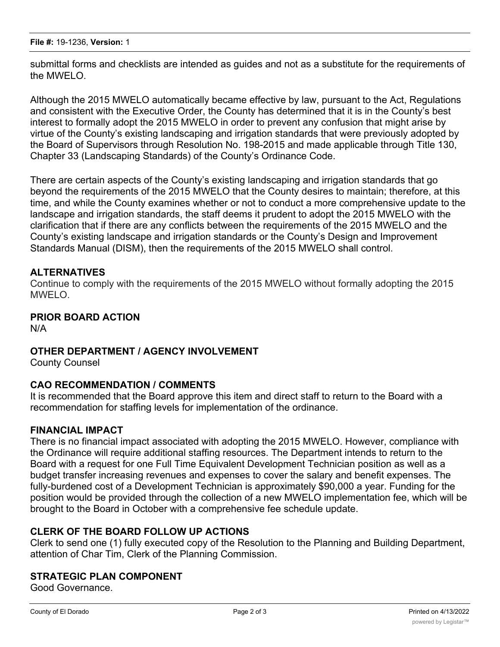submittal forms and checklists are intended as guides and not as a substitute for the requirements of the MWELO.

Although the 2015 MWELO automatically became effective by law, pursuant to the Act, Regulations and consistent with the Executive Order, the County has determined that it is in the County's best interest to formally adopt the 2015 MWELO in order to prevent any confusion that might arise by virtue of the County's existing landscaping and irrigation standards that were previously adopted by the Board of Supervisors through Resolution No. 198-2015 and made applicable through Title 130, Chapter 33 (Landscaping Standards) of the County's Ordinance Code.

There are certain aspects of the County's existing landscaping and irrigation standards that go beyond the requirements of the 2015 MWELO that the County desires to maintain; therefore, at this time, and while the County examines whether or not to conduct a more comprehensive update to the landscape and irrigation standards, the staff deems it prudent to adopt the 2015 MWELO with the clarification that if there are any conflicts between the requirements of the 2015 MWELO and the County's existing landscape and irrigation standards or the County's Design and Improvement Standards Manual (DISM), then the requirements of the 2015 MWELO shall control.

### **ALTERNATIVES**

Continue to comply with the requirements of the 2015 MWELO without formally adopting the 2015 MWELO.

## **PRIOR BOARD ACTION**

N/A

### **OTHER DEPARTMENT / AGENCY INVOLVEMENT**

County Counsel

### **CAO RECOMMENDATION / COMMENTS**

It is recommended that the Board approve this item and direct staff to return to the Board with a recommendation for staffing levels for implementation of the ordinance.

### **FINANCIAL IMPACT**

There is no financial impact associated with adopting the 2015 MWELO. However, compliance with the Ordinance will require additional staffing resources. The Department intends to return to the Board with a request for one Full Time Equivalent Development Technician position as well as a budget transfer increasing revenues and expenses to cover the salary and benefit expenses. The fully-burdened cost of a Development Technician is approximately \$90,000 a year. Funding for the position would be provided through the collection of a new MWELO implementation fee, which will be brought to the Board in October with a comprehensive fee schedule update.

## **CLERK OF THE BOARD FOLLOW UP ACTIONS**

Clerk to send one (1) fully executed copy of the Resolution to the Planning and Building Department, attention of Char Tim, Clerk of the Planning Commission.

### **STRATEGIC PLAN COMPONENT**

Good Governance.